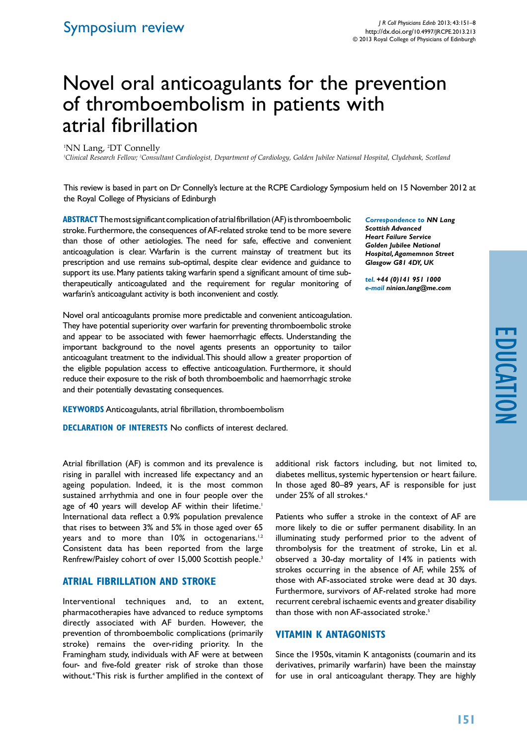# Novel oral anticoagulants for the prevention of thromboembolism in patients with atrial fibrillation

<sup>1</sup>NN Lang, <sup>2</sup>DT Connelly

*1 Clinical Research Fellow; 2 Consultant Cardiologist, Department of Cardiology, Golden Jubilee National Hospital, Clydebank, Scotland*

This review is based in part on Dr Connelly's lecture at the RCPE Cardiology Symposium held on 15 November 2012 at the Royal College of Physicians of Edinburgh

**ABSTRACT**The most significant complication of atrial fibrillation (AF) is thromboembolic stroke. Furthermore, the consequences of AF-related stroke tend to be more severe than those of other aetiologies. The need for safe, effective and convenient anticoagulation is clear. Warfarin is the current mainstay of treatment but its prescription and use remains sub-optimal, despite clear evidence and guidance to support its use. Many patients taking warfarin spend a significant amount of time subtherapeutically anticoagulated and the requirement for regular monitoring of warfarin's anticoagulant activity is both inconvenient and costly.

Novel oral anticoagulants promise more predictable and convenient anticoagulation. They have potential superiority over warfarin for preventing thromboembolic stroke and appear to be associated with fewer haemorrhagic effects. Understanding the important background to the novel agents presents an opportunity to tailor anticoagulant treatment to the individual. This should allow a greater proportion of the eligible population access to effective anticoagulation. Furthermore, it should reduce their exposure to the risk of both thromboembolic and haemorrhagic stroke and their potentially devastating consequences.

**KEYWORDS** Anticoagulants, atrial fibrillation, thromboembolism

**Declaration of Interests** No conflicts of interest declared.

Atrial fibrillation (AF) is common and its prevalence is rising in parallel with increased life expectancy and an ageing population. Indeed, it is the most common sustained arrhythmia and one in four people over the age of 40 years will develop AF within their lifetime.<sup>1</sup> International data reflect a 0.9% population prevalence that rises to between 3% and 5% in those aged over 65 years and to more than 10% in octogenarians.<sup>1,2</sup> Consistent data has been reported from the large Renfrew/Paisley cohort of over 15,000 Scottish people.3

# **Atrial Fibrillation and Stroke**

Interventional techniques and, to an extent, pharmacotherapies have advanced to reduce symptoms directly associated with AF burden. However, the prevention of thromboembolic complications (primarily stroke) remains the over-riding priority. In the Framingham study, individuals with AF were at between four- and five-fold greater risk of stroke than those without.4 This risk is further amplified in the context of *Correspondence to NN Lang Scottish Advanced Heart Failure Service Golden Jubilee National Hospital, Agamemnon Street Glasgow G81 4DY, UK*

*tel. +44 (0)141 951 1000 e-mail ninian.lang@me.com*

additional risk factors including, but not limited to, diabetes mellitus, systemic hypertension or heart failure. In those aged 80–89 years, AF is responsible for just under 25% of all strokes.4

Patients who suffer a stroke in the context of AF are more likely to die or suffer permanent disability. In an illuminating study performed prior to the advent of thrombolysis for the treatment of stroke, Lin et al. observed a 30-day mortality of 14% in patients with strokes occurring in the absence of AF, while 25% of those with AF-associated stroke were dead at 30 days. Furthermore, survivors of AF-related stroke had more recurrent cerebral ischaemic events and greater disability than those with non AF-associated stroke.<sup>5</sup>

# **Vitamin K Antagonists**

Since the 1950s, vitamin K antagonists (coumarin and its derivatives, primarily warfarin) have been the mainstay for use in oral anticoagulant therapy. They are highly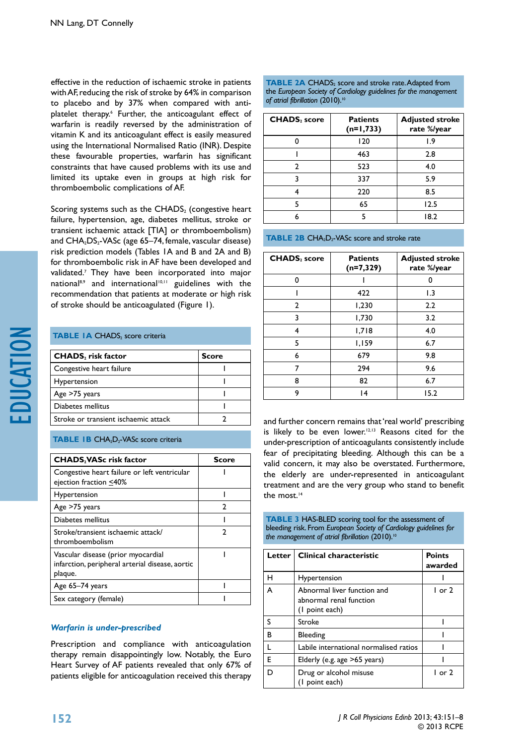effective in the reduction of ischaemic stroke in patients with AF, reducing the risk of stroke by 64% in comparison to placebo and by 37% when compared with antiplatelet therapy.6 Further, the anticoagulant effect of warfarin is readily reversed by the administration of vitamin K and its anticoagulant effect is easily measured using the International Normalised Ratio (INR). Despite these favourable properties, warfarin has significant constraints that have caused problems with its use and limited its uptake even in groups at high risk for thromboembolic complications of AF.

Scoring systems such as the  $CHADS<sub>2</sub>$  (congestive heart failure, hypertension, age, diabetes mellitus, stroke or transient ischaemic attack [TIA] or thromboembolism) and  $CHA<sub>2</sub>DS<sub>2</sub>-VASc$  (age 65–74, female, vascular disease) risk prediction models (Tables 1A and B and 2A and B) for thromboembolic risk in AF have been developed and validated.7 They have been incorporated into major national<sup>8,9</sup> and international<sup>10,11</sup> guidelines with the recommendation that patients at moderate or high risk of stroke should be anticoagulated (Figure 1).

| <b>TABLE IA CHADS</b> , score criteria |              |
|----------------------------------------|--------------|
| CHADS <sub>2</sub> risk factor         | <b>Score</b> |
| Congestive heart failure               |              |
| Hypertension                           |              |
| Age >75 years                          |              |
| Diabetes mellitus                      |              |
| Stroke or transient ischaemic attack   |              |

#### **TABLE 1B CHA<sub>2</sub>D<sub>2</sub>-VASc score criteria**

| <b>CHADS2VASc risk factor</b>                                                                    | Score |
|--------------------------------------------------------------------------------------------------|-------|
| Congestive heart failure or left ventricular<br>ejection fraction <40%                           |       |
| Hypertension                                                                                     |       |
| Age >75 years                                                                                    | າ     |
| Diabetes mellitus                                                                                |       |
| Stroke/transient ischaemic attack/<br>thromboembolism                                            |       |
| Vascular disease (prior myocardial<br>infarction, peripheral arterial disease, aortic<br>plaque. |       |
| Age 65-74 years                                                                                  |       |
| Sex category (female)                                                                            |       |

#### *Warfarin is under-prescribed*

Prescription and compliance with anticoagulation therapy remain disappointingly low. Notably, the Euro Heart Survey of AF patients revealed that only 67% of patients eligible for anticoagulation received this therapy

**TABLE 2A CHADS**<sub>2</sub> score and stroke rate. Adapted from the *European Society of Cardiology guidelines for the management*  of atrial fibrillation (2010).<sup>10</sup>

| <b>CHADS</b> <sub>2</sub> score | <b>Patients</b><br>$(n=1,733)$ | <b>Adjusted stroke</b><br>rate %/year |
|---------------------------------|--------------------------------|---------------------------------------|
|                                 | 120                            | 1.9                                   |
|                                 | 463                            | 2.8                                   |
| 2                               | 523                            | 4.0                                   |
| ٦                               | 337                            | 5.9                                   |
|                                 | 220                            | 8.5                                   |
| 5                               | 65                             | 12.5                                  |
|                                 |                                | 18.2                                  |

| <b>TABLE 2B CHA, D<sub>2</sub>-VASc score and stroke rate</b> |  |
|---------------------------------------------------------------|--|
|---------------------------------------------------------------|--|

| CHADS <sub>2</sub> score | <b>Patients</b><br>$(n=7,329)$ | <b>Adjusted stroke</b><br>rate %/year |
|--------------------------|--------------------------------|---------------------------------------|
| n                        |                                | 0                                     |
|                          | 422                            | 1.3                                   |
| $\overline{2}$           | 1,230                          | 2.2                                   |
| 3                        | 1,730                          | 3.2                                   |
| 4                        | 1,718                          | 4.0                                   |
| 5                        | 1,159                          | 6.7                                   |
| 6                        | 679                            | 9.8                                   |
| 7                        | 294                            | 9.6                                   |
| 8                        | 82                             | 6.7                                   |
| 9                        | 4                              | 15.2                                  |

and further concern remains that 'real world' prescribing is likely to be even lower.12,13 Reasons cited for the under-prescription of anticoagulants consistently include fear of precipitating bleeding. Although this can be a valid concern, it may also be overstated. Furthermore, the elderly are under-represented in anticoagulant treatment and are the very group who stand to benefit the most.<sup>14</sup>

**table 3** HAS-BLED scoring tool for the assessment of bleeding risk. From *European Society of Cardiology guidelines for*  the management of atrial fibrillation (2010).<sup>10</sup>

| Letter | <b>Clinical characteristic</b>                                           | <b>Points</b><br>awarded |
|--------|--------------------------------------------------------------------------|--------------------------|
| н      | <b>Hypertension</b>                                                      |                          |
| A      | Abnormal liver function and<br>abnormal renal function<br>(1 point each) | $1$ or $2$               |
| S      | Stroke                                                                   |                          |
| в      | Bleeding                                                                 |                          |
|        | Labile international normalised ratios                                   |                          |
| E      | Elderly (e.g. age >65 years)                                             |                          |
| n      | Drug or alcohol misuse<br>(1 point each)                                 | $1$ or $2$               |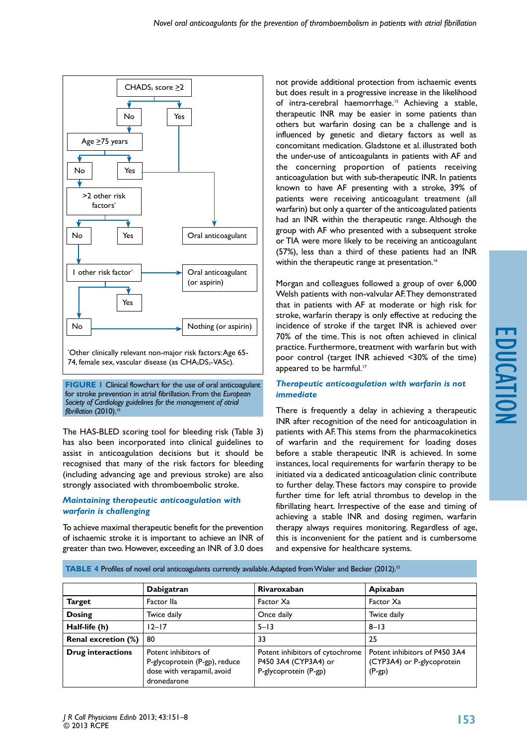

**FIGURE 1** Clinical flowchart for the use of oral anticoagulant for stroke prevention in atrial fibrillation. From the *European Society of Cardiology guidelines for the management of atrial fibrillation* (2010).<sup>1</sup>

The HAS-BLED scoring tool for bleeding risk (Table 3) has also been incorporated into clinical guidelines to assist in anticoagulation decisions but it should be recognised that many of the risk factors for bleeding (including advancing age and previous stroke) are also strongly associated with thromboembolic stroke.

# *Maintaining therapeutic anticoagulation with warfarin is challenging*

To achieve maximal therapeutic benefit for the prevention of ischaemic stroke it is important to achieve an INR of greater than two. However, exceeding an INR of 3.0 does

not provide additional protection from ischaemic events but does result in a progressive increase in the likelihood of intra-cerebral haemorrhage.<sup>15</sup> Achieving a stable, therapeutic INR may be easier in some patients than others but warfarin dosing can be a challenge and is influenced by genetic and dietary factors as well as concomitant medication. Gladstone et al. illustrated both the under-use of anticoagulants in patients with AF and the concerning proportion of patients receiving anticoagulation but with sub-therapeutic INR. In patients known to have AF presenting with a stroke, 39% of patients were receiving anticoagulant treatment (all warfarin) but only a quarter of the anticoagulated patients had an INR within the therapeutic range. Although the group with AF who presented with a subsequent stroke or TIA were more likely to be receiving an anticoagulant (57%), less than a third of these patients had an INR within the therapeutic range at presentation.<sup>16</sup>

Morgan and colleagues followed a group of over 6,000 Welsh patients with non-valvular AF. They demonstrated that in patients with AF at moderate or high risk for stroke, warfarin therapy is only effective at reducing the incidence of stroke if the target INR is achieved over 70% of the time. This is not often achieved in clinical practice. Furthermore, treatment with warfarin but with poor control (target INR achieved <30% of the time) appeared to be harmful.<sup>17</sup>

# *Therapeutic anticoagulation with warfarin is not immediate*

There is frequently a delay in achieving a therapeutic INR after recognition of the need for anticoagulation in patients with AF. This stems from the pharmacokinetics of warfarin and the requirement for loading doses before a stable therapeutic INR is achieved. In some instances, local requirements for warfarin therapy to be initiated via a dedicated anticoagulation clinic contribute to further delay. These factors may conspire to provide further time for left atrial thrombus to develop in the fibrillating heart. Irrespective of the ease and timing of achieving a stable INR and dosing regimen, warfarin therapy always requires monitoring. Regardless of age, this is inconvenient for the patient and is cumbersome and expensive for healthcare systems.

**table 4** Profiles of novel oral anticoagulants currently available. Adapted from Wisler and Becker (2012).32

|                          | Dabigatran                                                                                         | Rivaroxaban                                                                      | Apixaban                                                                |
|--------------------------|----------------------------------------------------------------------------------------------------|----------------------------------------------------------------------------------|-------------------------------------------------------------------------|
| <b>Target</b>            | Factor IIa                                                                                         | Factor Xa                                                                        | Factor Xa                                                               |
| <b>Dosing</b>            | Twice daily                                                                                        | Once daily                                                                       | Twice daily                                                             |
| Half-life (h)            | $12 - 17$                                                                                          | $5 - 13$                                                                         | $8 - 13$                                                                |
| Renal excretion (%)      | 80                                                                                                 | 33                                                                               | 25                                                                      |
| <b>Drug interactions</b> | Potent inhibitors of<br>P-glycoprotein (P-gp), reduce<br>dose with verapamil, avoid<br>dronedarone | Potent inhibitors of cytochrome<br>P450 3A4 (CYP3A4) or<br>P-glycoprotein (P-gp) | Potent inhibitors of P450 3A4<br>(CYP3A4) or P-glycoprotein<br>$(P-gp)$ |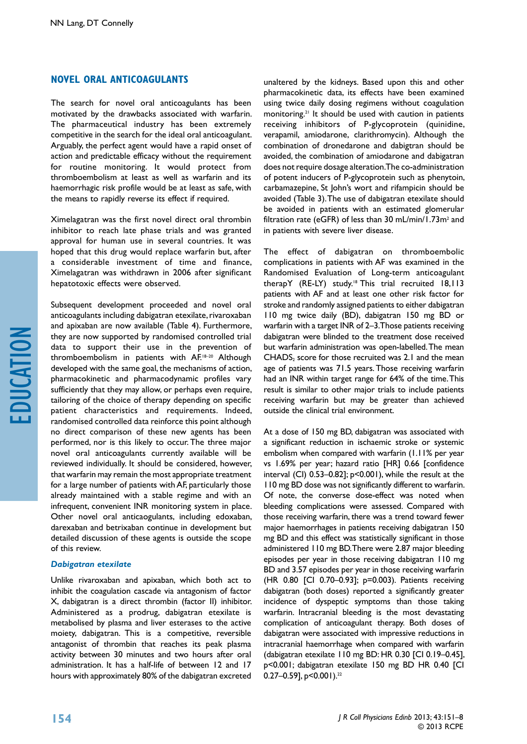# **Novel Oral Anticoagulants**

The search for novel oral anticoagulants has been motivated by the drawbacks associated with warfarin. The pharmaceutical industry has been extremely competitive in the search for the ideal oral anticoagulant. Arguably, the perfect agent would have a rapid onset of action and predictable efficacy without the requirement for routine monitoring. It would protect from thromboembolism at least as well as warfarin and its haemorrhagic risk profile would be at least as safe, with the means to rapidly reverse its effect if required.

Ximelagatran was the first novel direct oral thrombin inhibitor to reach late phase trials and was granted approval for human use in several countries. It was hoped that this drug would replace warfarin but, after a considerable investment of time and finance, Ximelagatran was withdrawn in 2006 after significant hepatotoxic effects were observed.

Subsequent development proceeded and novel oral anticoagulants including dabigatran etexilate, rivaroxaban and apixaban are now available (Table 4). Furthermore, they are now supported by randomised controlled trial data to support their use in the prevention of thromboembolism in patients with AF.18–20 Although developed with the same goal, the mechanisms of action, pharmacokinetic and pharmacodynamic profiles vary sufficiently that they may allow, or perhaps even require, tailoring of the choice of therapy depending on specific patient characteristics and requirements. Indeed, randomised controlled data reinforce this point although no direct comparison of these new agents has been performed, nor is this likely to occur. The three major novel oral anticoagulants currently available will be reviewed individually. It should be considered, however, that warfarin may remain the most appropriate treatment for a large number of patients with AF, particularly those already maintained with a stable regime and with an infrequent, convenient INR monitoring system in place. Other novel oral anticaogulants, including edoxaban, darexaban and betrixaban continue in development but detailed discussion of these agents is outside the scope of this review.

#### *Dabigatran etexilate*

Unlike rivaroxaban and apixaban, which both act to inhibit the coagulation cascade via antagonism of factor X, dabigatran is a direct thrombin (factor II) inhibitor. Administered as a prodrug, dabigatran etexilate is metabolised by plasma and liver esterases to the active moiety, dabigatran. This is a competitive, reversible antagonist of thrombin that reaches its peak plasma activity between 30 minutes and two hours after oral administration. It has a half-life of between 12 and 17 hours with approximately 80% of the dabigatran excreted

unaltered by the kidneys. Based upon this and other pharmacokinetic data, its effects have been examined using twice daily dosing regimens without coagulation monitoring.21 It should be used with caution in patients receiving inhibitors of P-glycoprotein (quinidine, verapamil, amiodarone, clarithromycin). Although the combination of dronedarone and dabigtran should be avoided, the combination of amiodarone and dabigatran does not require dosage alteration. The co-administration of potent inducers of P-glycoprotein such as phenytoin, carbamazepine, St John's wort and rifampicin should be avoided (Table 3). The use of dabigatran etexilate should be avoided in patients with an estimated glomerular filtration rate (eGFR) of less than 30 mL/min/1.73 $m^2$  and in patients with severe liver disease.

The effect of dabigatran on thromboembolic complications in patients with AF was examined in the Randomised Evaluation of Long-term anticoagulant therapY (RE-LY) study.<sup>18</sup> This trial recruited 18,113 patients with AF and at least one other risk factor for stroke and randomly assigned patients to either dabigatran 110 mg twice daily (BD), dabigatran 150 mg BD or warfarin with a target INR of 2–3. Those patients receiving dabigatran were blinded to the treatment dose received but warfarin administration was open-labelled. The mean  $CHADS<sub>2</sub>$  score for those recruited was 2.1 and the mean age of patients was 71.5 years. Those receiving warfarin had an INR within target range for 64% of the time. This result is similar to other major trials to include patients receiving warfarin but may be greater than achieved outside the clinical trial environment.

At a dose of 150 mg BD, dabigatran was associated with a significant reduction in ischaemic stroke or systemic embolism when compared with warfarin (1.11% per year vs 1.69% per year; hazard ratio [HR] 0.66 [confidence interval (CI) 0.53–0.82]; p<0.001), while the result at the 110 mg BD dose was not significantly different to warfarin. Of note, the converse dose-effect was noted when bleeding complications were assessed. Compared with those receiving warfarin, there was a trend toward fewer major haemorrhages in patients receiving dabigatran 150 mg BD and this effect was statistically significant in those administered 110 mg BD. There were 2.87 major bleeding episodes per year in those receiving dabigatran 110 mg BD and 3.57 episodes per year in those receiving warfarin (HR 0.80 [CI 0.70–0.93]; p=0.003). Patients receiving dabigatran (both doses) reported a significantly greater incidence of dyspeptic symptoms than those taking warfarin. Intracranial bleeding is the most devastating complication of anticoagulant therapy. Both doses of dabigatran were associated with impressive reductions in intracranial haemorrhage when compared with warfarin (dabigatran etexilate 110 mg BD: HR 0.30 [CI 0.19–0.45], p<0.001; dabigatran etexilate 150 mg BD HR 0.40 [CI 0.27–0.59],  $p<0.001$ ).<sup>22</sup>

education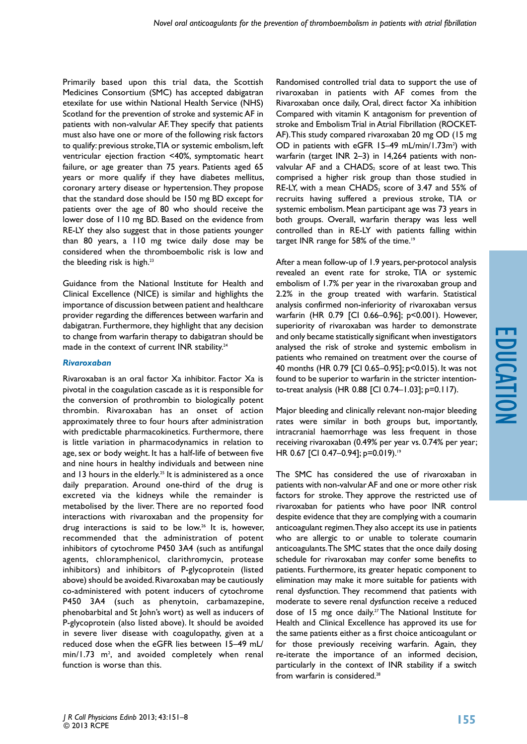Primarily based upon this trial data, the Scottish Medicines Consortium (SMC) has accepted dabigatran etexilate for use within National Health Service (NHS) Scotland for the prevention of stroke and systemic AF in patients with non-valvular AF. They specify that patients must also have one or more of the following risk factors to qualify: previous stroke, TIA or systemic embolism, left ventricular ejection fraction <40%, symptomatic heart failure, or age greater than 75 years. Patients aged 65 years or more qualify if they have diabetes mellitus, coronary artery disease or hypertension. They propose that the standard dose should be 150 mg BD except for patients over the age of 80 who should receive the lower dose of 110 mg BD. Based on the evidence from RE-LY they also suggest that in those patients younger than 80 years, a 110 mg twice daily dose may be considered when the thromboembolic risk is low and the bleeding risk is high.23

Guidance from the National Institute for Health and Clinical Excellence (NICE) is similar and highlights the importance of discussion between patient and healthcare provider regarding the differences between warfarin and dabigatran. Furthermore, they highlight that any decision to change from warfarin therapy to dabigatran should be made in the context of current INR stability.<sup>24</sup>

# *Rivaroxaban*

Rivaroxaban is an oral factor Xa inhibitor. Factor Xa is pivotal in the coagulation cascade as it is responsible for the conversion of prothrombin to biologically potent thrombin. Rivaroxaban has an onset of action approximately three to four hours after administration with predictable pharmacokinetics. Furthermore, there is little variation in pharmacodynamics in relation to age, sex or body weight. It has a half-life of between five and nine hours in healthy individuals and between nine and 13 hours in the elderly.<sup>25</sup> It is administered as a once daily preparation. Around one-third of the drug is excreted via the kidneys while the remainder is metabolised by the liver. There are no reported food interactions with rivaroxaban and the propensity for drug interactions is said to be low.<sup>26</sup> It is, however, recommended that the administration of potent inhibitors of cytochrome P450 3A4 (such as antifungal agents, chloramphenicol, clarithromycin, protease inhibitors) and inhibitors of P-glycoprotein (listed above) should be avoided. Rivaroxaban may be cautiously co-administered with potent inducers of cytochrome P450 3A4 (such as phenytoin, carbamazepine, phenobarbital and St John's wort) as well as inducers of P-glycoprotein (also listed above). It should be avoided in severe liver disease with coagulopathy, given at a reduced dose when the eGFR lies between 15–49 mL/ min/1.73 m<sup>2</sup>, and avoided completely when renal function is worse than this.

Randomised controlled trial data to support the use of rivaroxaban in patients with AF comes from the Rivaroxaban once daily, Oral, direct factor Xa inhibition Compared with vitamin K antagonism for prevention of stroke and Embolism Trial in Atrial Fibrillation (ROCKET-AF). This study compared rivaroxaban 20 mg OD (15 mg OD in patients with eGFR  $15-49$  mL/min/1.73m<sup>2</sup>) with warfarin (target INR 2–3) in 14,264 patients with nonvalvular AF and a  $CHADS<sub>2</sub>$  score of at least two. This comprised a higher risk group than those studied in RE-LY, with a mean  $CHADS<sub>2</sub>$  score of 3.47 and 55% of recruits having suffered a previous stroke, TIA or systemic embolism. Mean participant age was 73 years in both groups. Overall, warfarin therapy was less well controlled than in RE-LY with patients falling within target INR range for 58% of the time.<sup>19</sup>

After a mean follow-up of 1.9 years, per-protocol analysis revealed an event rate for stroke, TIA or systemic embolism of 1.7% per year in the rivaroxaban group and 2.2% in the group treated with warfarin. Statistical analysis confirmed non-inferiority of rivaroxaban versus warfarin (HR 0.79 [CI 0.66–0.96]; p<0.001). However, superiority of rivaroxaban was harder to demonstrate and only became statistically significant when investigators analysed the risk of stroke and systemic embolism in patients who remained on treatment over the course of 40 months (HR 0.79 [CI 0.65–0.95]; p<0.015). It was not found to be superior to warfarin in the stricter intentionto-treat analysis (HR 0.88 [CI 0.74–1.03]; p=0.117).

Major bleeding and clinically relevant non-major bleeding rates were similar in both groups but, importantly, intracranial haemorrhage was less frequent in those receiving rivaroxaban (0.49% per year vs. 0.74% per year; HR 0.67 [CI 0.47-0.94]; p=0.019).<sup>19</sup>

The SMC has considered the use of rivaroxaban in patients with non-valvular AF and one or more other risk factors for stroke. They approve the restricted use of rivaroxaban for patients who have poor INR control despite evidence that they are complying with a coumarin anticoagulant regimen. They also accept its use in patients who are allergic to or unable to tolerate coumarin anticoagulants. The SMC states that the once daily dosing schedule for rivaroxaban may confer some benefits to patients. Furthermore, its greater hepatic component to elimination may make it more suitable for patients with renal dysfunction. They recommend that patients with moderate to severe renal dysfunction receive a reduced dose of 15 mg once daily.<sup>27</sup> The National Institute for Health and Clinical Excellence has approved its use for the same patients either as a first choice anticoagulant or for those previously receiving warfarin. Again, they re-iterate the importance of an informed decision, particularly in the context of INR stability if a switch from warfarin is considered.<sup>28</sup>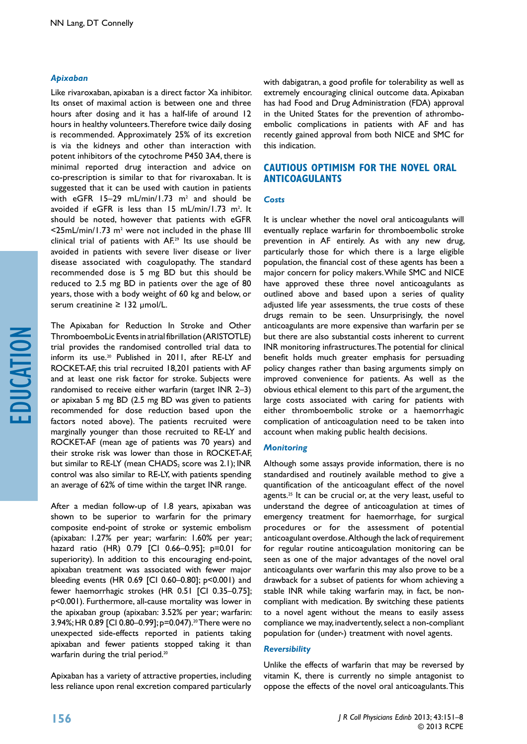#### *Apixaban*

Like rivaroxaban, apixaban is a direct factor Xa inhibitor. Its onset of maximal action is between one and three hours after dosing and it has a half-life of around 12 hours in healthy volunteers. Therefore twice daily dosing is recommended. Approximately 25% of its excretion is via the kidneys and other than interaction with potent inhibitors of the cytochrome P450 3A4, there is minimal reported drug interaction and advice on co-prescription is similar to that for rivaroxaban. It is suggested that it can be used with caution in patients with  $eGFR$  15–29 mL/min/1.73  $m^2$  and should be avoided if eGFR is less than 15 mL/min/1.73 m². It should be noted, however that patients with eGFR  $<$ 25mL/min/1.73 m<sup>2</sup> were not included in the phase III clinical trial of patients with AF.<sup>29</sup> Its use should be avoided in patients with severe liver disease or liver disease associated with coagulopathy. The standard recommended dose is 5 mg BD but this should be reduced to 2.5 mg BD in patients over the age of 80 years, those with a body weight of 60 kg and below, or serum creatinine ≥ 132 µmol/L.

The Apixaban for Reduction In Stroke and Other ThromboemboLic Events in atrial fibrillation (ARISTOTLE) trial provides the randomised controlled trial data to inform its use.<sup>20</sup> Published in 2011, after RE-LY and ROCKET-AF, this trial recruited 18,201 patients with AF and at least one risk factor for stroke. Subjects were randomised to receive either warfarin (target INR 2–3) or apixaban 5 mg BD (2.5 mg BD was given to patients recommended for dose reduction based upon the factors noted above). The patients recruited were marginally younger than those recruited to RE-LY and ROCKET-AF (mean age of patients was 70 years) and their stroke risk was lower than those in ROCKET-AF, but similar to RE-LY (mean  $CHADS<sub>2</sub>$  score was 2.1); INR control was also similar to RE-LY, with patients spending an average of 62% of time within the target INR range.

After a median follow-up of 1.8 years, apixaban was shown to be superior to warfarin for the primary composite end-point of stroke or systemic embolism (apixaban: 1.27% per year; warfarin: 1.60% per year; hazard ratio (HR) 0.79 [CI 0.66–0.95]; p=0.01 for superiority). In addition to this encouraging end-point, apixaban treatment was associated with fewer major bleeding events (HR 0.69 [CI 0.60–0.80]; p<0.001) and fewer haemorrhagic strokes (HR 0.51 [CI 0.35–0.75]; p<0.001). Furthermore, all-cause mortality was lower in the apixaban group (apixaban: 3.52% per year; warfarin: 3.94%; HR 0.89 [CI 0.80-0.99]; p=0.047).<sup>20</sup> There were no unexpected side-effects reported in patients taking apixaban and fewer patients stopped taking it than warfarin during the trial period.<sup>20</sup>

Apixaban has a variety of attractive properties, including less reliance upon renal excretion compared particularly with dabigatran, a good profile for tolerability as well as extremely encouraging clinical outcome data. Apixaban has had Food and Drug Administration (FDA) approval in the United States for the prevention of athromboembolic complications in patients with AF and has recently gained approval from both NICE and SMC for this indication.

# **Cautious Optimism for the Novel Oral Anticoagulants**

#### *Costs*

It is unclear whether the novel oral anticoagulants will eventually replace warfarin for thromboembolic stroke prevention in AF entirely. As with any new drug, particularly those for which there is a large eligible population, the financial cost of these agents has been a major concern for policy makers. While SMC and NICE have approved these three novel anticoagulants as outlined above and based upon a series of quality adjusted life year assessments, the true costs of these drugs remain to be seen. Unsurprisingly, the novel anticoagulants are more expensive than warfarin per se but there are also substantial costs inherent to current INR monitoring infrastructures. The potential for clinical benefit holds much greater emphasis for persuading policy changes rather than basing arguments simply on improved convenience for patients. As well as the obvious ethical element to this part of the argument, the large costs associated with caring for patients with either thromboembolic stroke or a haemorrhagic complication of anticoagulation need to be taken into account when making public health decisions.

#### *Monitoring*

Although some assays provide information, there is no standardised and routinely available method to give a quantification of the anticoagulant effect of the novel agents.<sup>25</sup> It can be crucial or, at the very least, useful to understand the degree of anticoagulation at times of emergency treatment for haemorrhage, for surgical procedures or for the assessment of potential anticoagulant overdose. Although the lack of requirement for regular routine anticoagulation monitoring can be seen as one of the major advantages of the novel oral anticoagulants over warfarin this may also prove to be a drawback for a subset of patients for whom achieving a stable INR while taking warfarin may, in fact, be noncompliant with medication. By switching these patients to a novel agent without the means to easily assess compliance we may, inadvertently, select a non-compliant population for (under-) treatment with novel agents.

#### *Reversibility*

Unlike the effects of warfarin that may be reversed by vitamin K, there is currently no simple antagonist to oppose the effects of the novel oral anticoagulants. This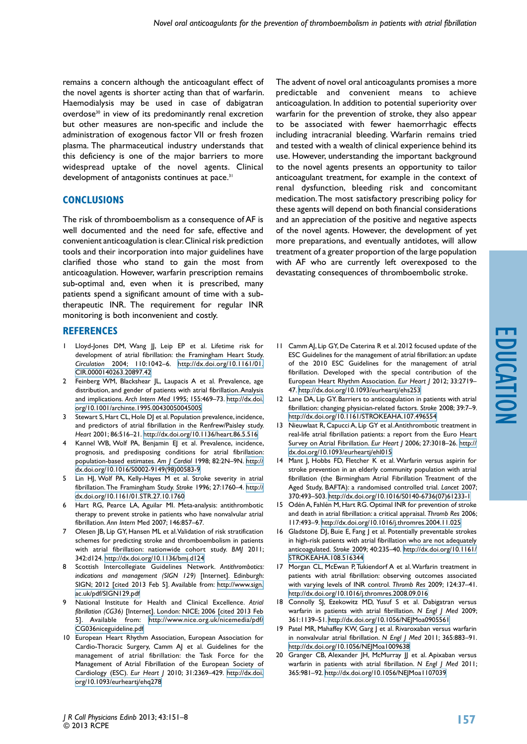remains a concern although the anticoagulant effect of the novel agents is shorter acting than that of warfarin. Haemodialysis may be used in case of dabigatran overdose<sup>30</sup> in view of its predominantly renal excretion but other measures are non-specific and include the administration of exogenous factor VII or fresh frozen plasma. The pharmaceutical industry understands that this deficiency is one of the major barriers to more widespread uptake of the novel agents. Clinical development of antagonists continues at pace.<sup>31</sup>

# **Conclusions**

The risk of thromboembolism as a consequence of AF is well documented and the need for safe, effective and convenient anticoagulation is clear. Clinical risk prediction tools and their incorporation into major guidelines have clarified those who stand to gain the most from anticoagulation. However, warfarin prescription remains sub-optimal and, even when it is prescribed, many patients spend a significant amount of time with a subtherapeutic INR. The requirement for regular INR monitoring is both inconvenient and costly.

#### **References**

- 1 Lloyd-Jones DM, Wang JJ, Leip EP et al. Lifetime risk for development of atrial fibrillation: the Framingham Heart Study. *Circulation* 2004; 110:1042–6. [http://dx.doi.org/10.1161/01.](http://dx.doi.org/10.1161/01.CIR.0000140263.20897.42) [CIR.0000140263.20897.42](http://dx.doi.org/10.1161/01.CIR.0000140263.20897.42)
- 2 Feinberg WM, Blackshear JL, Laupacis A et al. Prevalence, age distribution, and gender of patients with atrial fibrillation. Analysis and implications. *Arch Intern Med* 1995; 155:469–73. [http://dx.doi.](http://dx.doi.org/10.1001/archinte.1995.00430050045005) [org/10.1001/archinte.1995.00430050045005](http://dx.doi.org/10.1001/archinte.1995.00430050045005)
- 3 Stewart S, Hart CL, Hole D| et al. Population prevalence, incidence, and predictors of atrial fibrillation in the Renfrew/Paisley study. *Heart* 2001; 86:516–21. <http://dx.doi.org/10.1136/heart.86.5.516>
- 4 Kannel WB, Wolf PA, Benjamin EJ et al. Prevalence, incidence, prognosis, and predisposing conditions for atrial fibrillation: population-based estimates. *Am J Cardiol* 1998; 82:2N–9N. [http://](http://dx.doi.org/10.1016/S0002-9149(98)00583-9) [dx.doi.org/10.1016/S0002-9149\(98\)00583-9](http://dx.doi.org/10.1016/S0002-9149(98)00583-9)
- 5 Lin HJ, Wolf PA, Kelly-Hayes M et al. Stroke severity in atrial fibrillation. The Framingham Study. *Stroke* 1996; 27:1760–4. [http://](http://dx.doi.org/10.1161/01.STR.27.10.1760) [dx.doi.org/10.1161/01.STR.27.10.1760](http://dx.doi.org/10.1161/01.STR.27.10.1760)
- 6 Hart RG, Pearce LA, Aguilar MI. Meta-analysis: antithrombotic therapy to prevent stroke in patients who have nonvalvular atrial fibrillation. *Ann Intern* Med 2007; 146:857–67.
- 7 Olesen JB, Lip GY, Hansen ML et al. Validation of risk stratification schemes for predicting stroke and thromboembolism in patients with atrial fibrillation: nationwide cohort study. *BMJ* 2011; 342:d124.<http://dx.doi.org/10.1136/bmj.d124>
- 8 Scottish Intercollegiate Guidelines Network. *Antithrombotics: indications and management (SIGN 129)* [Internet]. Edinburgh: SIGN; 2012 [cited 2013 Feb 5]. Available from: [http://www.sign.](http://www.sign.ac.uk/pdf/SIGN129.pdf) [ac.uk/pdf/SIGN129.pdf](http://www.sign.ac.uk/pdf/SIGN129.pdf)
- 9 National Institute for Health and Clinical Excellence. *Atrial fibrillation (CG36)* [Internet]. London: NICE; 2006 [cited 2013 Feb 5]. Available from: [http://www.nice.org.uk/nicemedia/pdf/](http://www.nice.org.uk/nicemedia/pdf/CG036niceguideline.pdf) [CG036niceguideline.pdf](http://www.nice.org.uk/nicemedia/pdf/CG036niceguideline.pdf)
- 10 European Heart Rhythm Association, European Association for Cardio-Thoracic Surgery, Camm AJ et al. Guidelines for the management of atrial fibrillation: the Task Force for the Management of Atrial Fibrillation of the European Society of Cardiology (ESC). *Eur Heart J* 2010; 31:2369–429. [http://dx.doi.](http://dx.doi.org/10.1093/eurheartj/ehq278) [org/10.1093/eurheartj/ehq278](http://dx.doi.org/10.1093/eurheartj/ehq278)

The advent of novel oral anticoagulants promises a more predictable and convenient means to achieve anticoagulation. In addition to potential superiority over warfarin for the prevention of stroke, they also appear to be associated with fewer haemorrhagic effects including intracranial bleeding. Warfarin remains tried and tested with a wealth of clinical experience behind its use. However, understanding the important background to the novel agents presents an opportunity to tailor anticoagulant treatment, for example in the context of renal dysfunction, bleeding risk and concomitant medication. The most satisfactory prescribing policy for these agents will depend on both financial considerations and an appreciation of the positive and negative aspects of the novel agents. However, the development of yet more preparations, and eventually antidotes, will allow treatment of a greater proportion of the large population with AF who are currently left overexposed to the devastating consequences of thromboembolic stroke.

- 11 Camm AJ, Lip GY, De Caterina R et al. 2012 focused update of the ESC Guidelines for the management of atrial fibrillation: an update of the 2010 ESC Guidelines for the management of atrial fibrillation. Developed with the special contribution of the European Heart Rhythm Association. *Eur Heart J* 2012; 33:2719– 47.<http://dx.doi.org/10.1093/eurheartj/ehs253>
- 12 Lane DA, Lip GY. Barriers to anticoagulation in patients with atrial fibrillation: changing physician-related factors. *Stroke* 2008; 39:7–9. <http://dx.doi.org/10.1161/STROKEAHA.107.496554>
- 13 Nieuwlaat R, Capucci A, Lip GY et al. Antithrombotic treatment in real-life atrial fibrillation patients: a report from the Euro Heart Survey on Atrial Fibrillation. *Eur Heart J* 2006; 27:3018–26. [http://](http://dx.doi.org/10.1093/eurheartj/ehl015) [dx.doi.org/10.1093/eurheartj/ehl015](http://dx.doi.org/10.1093/eurheartj/ehl015)
- 14 Mant J, Hobbs FD, Fletcher K et al. Warfarin versus aspirin for stroke prevention in an elderly community population with atrial fibrillation (the Birmingham Atrial Fibrillation Treatment of the Aged Study, BAFTA): a randomised controlled trial. *Lancet* 2007; 370:493–503. [http://dx.doi.org/10.1016/S0140-6736\(07\)61233-1](http://dx.doi.org/10.1016/S0140-6736(07)61233-1)
- 15 Odén A, Fahlén M, Hart RG. Optimal INR for prevention of stroke and death in atrial fibrillation: a critical appraisal. *Thromb Res* 2006; 117:493–9. <http://dx.doi.org/10.1016/j.thromres.2004.11.025>
- 16 Gladstone DJ, Buie E, Fang J et al. Potentially preventable strokes in high-risk patients with atrial fibrillation who are not adequately anticoagulated. *Stroke* 2009; 40:235–40. [http://dx.doi.org/10.1161/](http://dx.doi.org/10.1161/STROKEAHA.108.516344) [STROKEAHA.108.516344](http://dx.doi.org/10.1161/STROKEAHA.108.516344)
- 17 Morgan CL, McEwan P, Tukiendorf A et al. Warfarin treatment in patients with atrial fibrillation: observing outcomes associated with varying levels of INR control. *Thromb Res* 2009; 124:37–41. <http://dx.doi.org/10.1016/j.thromres.2008.09.016>
- 18 Connolly SJ, Ezekowitz MD, Yusuf S et al. Dabigatran versus warfarin in patients with atrial fibrillation. *N Engl J Med* 2009; 361:1139–51. <http://dx.doi.org/10.1056/NEJMoa0905561>
- 19 Patel MR, Mahaffey KW, Garg J et al. Rivaroxaban versus warfarin in nonvalvular atrial fibrillation. *N Engl J Med* 2011; 365:883–91. <http://dx.doi.org/10.1056/NEJMoa1009638>
- 20 Granger CB, Alexander JH, McMurray JJ et al. Apixaban versus warfarin in patients with atrial fibrillation. *N Engl J Med* 2011; 365:981–92. <http://dx.doi.org/10.1056/NEJMoa1107039>

education